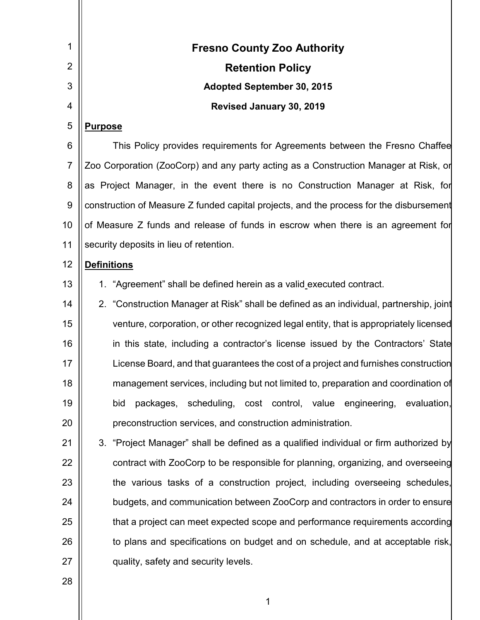| 1              | <b>Fresno County Zoo Authority</b>                                                      |
|----------------|-----------------------------------------------------------------------------------------|
| $\overline{2}$ | <b>Retention Policy</b>                                                                 |
| 3              | <b>Adopted September 30, 2015</b>                                                       |
| 4              | Revised January 30, 2019                                                                |
| 5              | <b>Purpose</b>                                                                          |
| 6              | This Policy provides requirements for Agreements between the Fresno Chaffee             |
| $\overline{7}$ | Zoo Corporation (ZooCorp) and any party acting as a Construction Manager at Risk, or    |
| 8              | as Project Manager, in the event there is no Construction Manager at Risk, for          |
| 9              | construction of Measure Z funded capital projects, and the process for the disbursement |
| 10             | of Measure Z funds and release of funds in escrow when there is an agreement for        |
| 11             | security deposits in lieu of retention.                                                 |
| 12             | <b>Definitions</b>                                                                      |
| 13             | 1. "Agreement" shall be defined herein as a valid executed contract.                    |
| 14             | 2. "Construction Manager at Risk" shall be defined as an individual, partnership, joint |
| 15             | venture, corporation, or other recognized legal entity, that is appropriately licensed  |
| 16             | in this state, including a contractor's license issued by the Contractors' State        |
| 17             | License Board, and that guarantees the cost of a project and furnishes construction     |
| 18             | management services, including but not limited to, preparation and coordination of      |
| 19             | packages, scheduling, cost control, value engineering, evaluation,<br>bid               |
| 20             | preconstruction services, and construction administration.                              |
| 21             | 3. "Project Manager" shall be defined as a qualified individual or firm authorized by   |
| 22             | contract with ZooCorp to be responsible for planning, organizing, and overseeing        |
| 23             | the various tasks of a construction project, including overseeing schedules,            |
| 24             | budgets, and communication between ZooCorp and contractors in order to ensure           |
| 25             | that a project can meet expected scope and performance requirements according           |
| 26             | to plans and specifications on budget and on schedule, and at acceptable risk,          |
| 27             | quality, safety and security levels.                                                    |
| 28             |                                                                                         |

1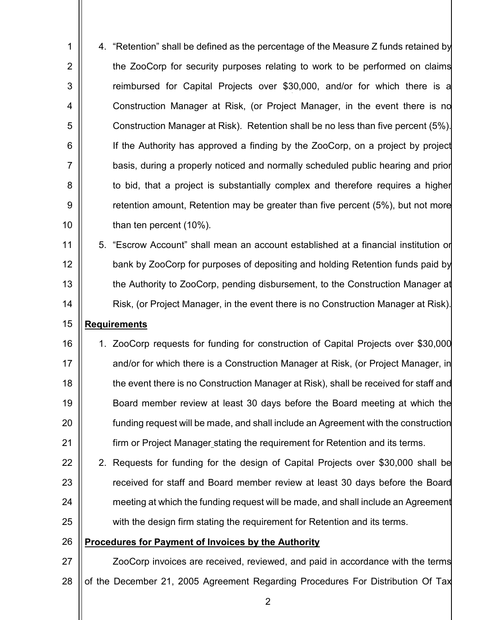1 2 3 4 5 6 7 8 9 10 4. "Retention" shall be defined as the percentage of the Measure Z funds retained by the ZooCorp for security purposes relating to work to be performed on claims reimbursed for Capital Projects over \$30,000, and/or for which there is a Construction Manager at Risk, (or Project Manager, in the event there is no Construction Manager at Risk). Retention shall be no less than five percent (5%). If the Authority has approved a finding by the ZooCorp, on a project by project basis, during a properly noticed and normally scheduled public hearing and prior to bid, that a project is substantially complex and therefore requires a higher retention amount, Retention may be greater than five percent (5%), but not more than ten percent (10%).

11 12 13 14 5. "Escrow Account" shall mean an account established at a financial institution or bank by ZooCorp for purposes of depositing and holding Retention funds paid by the Authority to ZooCorp, pending disbursement, to the Construction Manager at Risk, (or Project Manager, in the event there is no Construction Manager at Risk).

### 15 **Requirements**

16 17 18 19 20 21 1. ZooCorp requests for funding for construction of Capital Projects over \$30,000 and/or for which there is a Construction Manager at Risk, (or Project Manager, in the event there is no Construction Manager at Risk), shall be received for staff and Board member review at least 30 days before the Board meeting at which the funding request will be made, and shall include an Agreement with the construction firm or Project Manager stating the requirement for Retention and its terms.

22 23 24 25 2. Requests for funding for the design of Capital Projects over \$30,000 shall be received for staff and Board member review at least 30 days before the Board meeting at which the funding request will be made, and shall include an Agreement with the design firm stating the requirement for Retention and its terms.

#### 26 **Procedures for Payment of Invoices by the Authority**

27 28 ZooCorp invoices are received, reviewed, and paid in accordance with the terms of the December 21, 2005 Agreement Regarding Procedures For Distribution Of Tax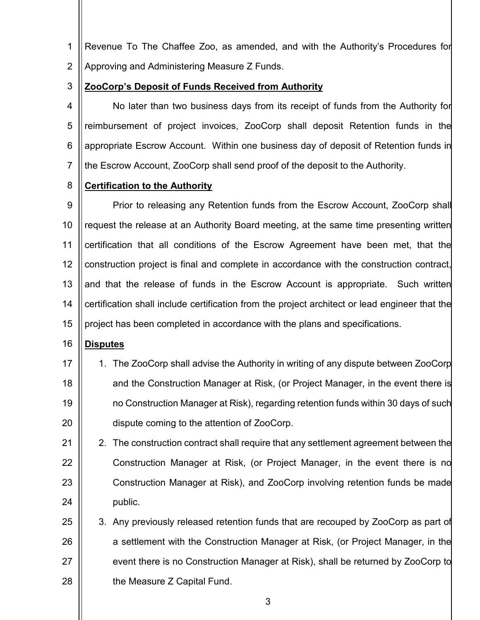- 1 2 Revenue To The Chaffee Zoo, as amended, and with the Authority's Procedures for Approving and Administering Measure Z Funds.
- 3 **ZooCorp's Deposit of Funds Received from Authority**

4 5 6 7 No later than two business days from its receipt of funds from the Authority for reimbursement of project invoices, ZooCorp shall deposit Retention funds in the appropriate Escrow Account. Within one business day of deposit of Retention funds in the Escrow Account, ZooCorp shall send proof of the deposit to the Authority.

8 **Certification to the Authority**

9 10 11 12 13 14 15 Prior to releasing any Retention funds from the Escrow Account, ZooCorp shall request the release at an Authority Board meeting, at the same time presenting written certification that all conditions of the Escrow Agreement have been met, that the construction project is final and complete in accordance with the construction contract, and that the release of funds in the Escrow Account is appropriate. Such written certification shall include certification from the project architect or lead engineer that the project has been completed in accordance with the plans and specifications.

- 16 **Disputes**
- 17 18 19 20 1. The ZooCorp shall advise the Authority in writing of any dispute between ZooCorp and the Construction Manager at Risk, (or Project Manager, in the event there is no Construction Manager at Risk), regarding retention funds within 30 days of such dispute coming to the attention of ZooCorp.
- 21 22 23 24 2. The construction contract shall require that any settlement agreement between the Construction Manager at Risk, (or Project Manager, in the event there is no Construction Manager at Risk), and ZooCorp involving retention funds be made public.
- 25 26 27 28 3. Any previously released retention funds that are recouped by ZooCorp as part of a settlement with the Construction Manager at Risk, (or Project Manager, in the event there is no Construction Manager at Risk), shall be returned by ZooCorp to the Measure Z Capital Fund.

3